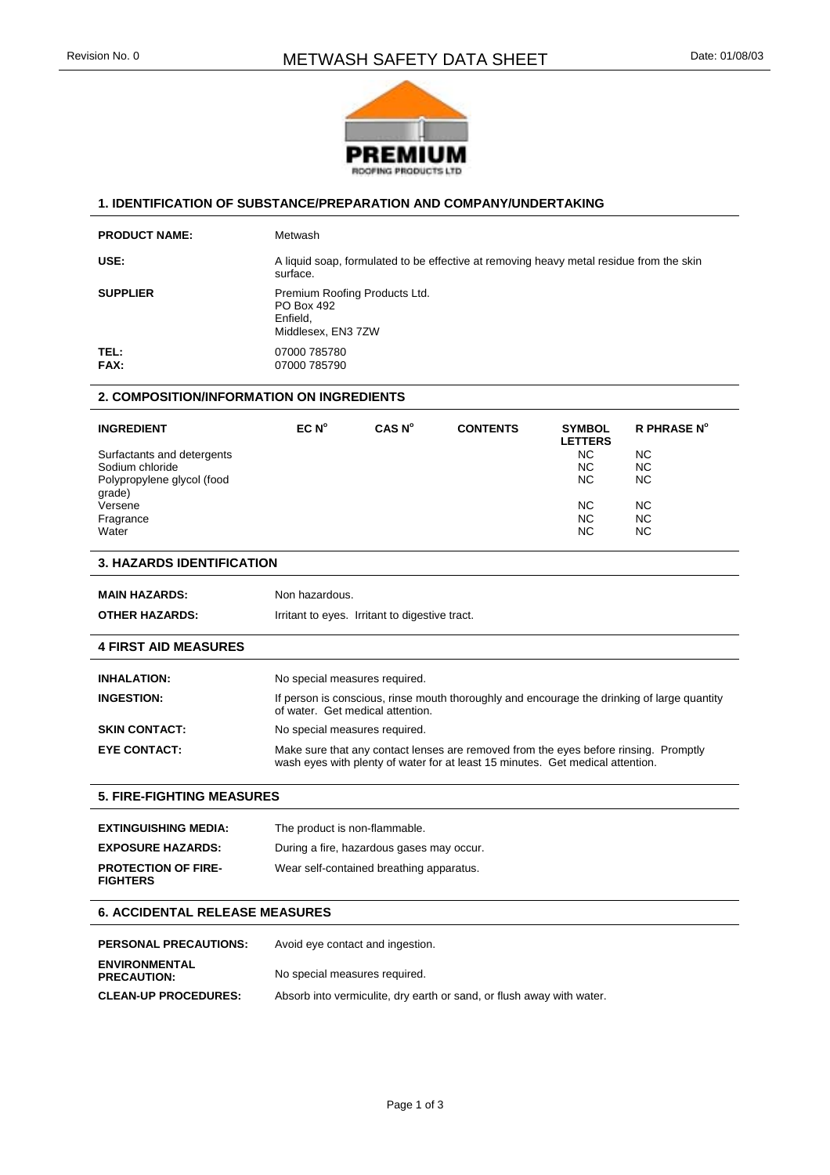

#### **1. IDENTIFICATION OF SUBSTANCE/PREPARATION AND COMPANY/UNDERTAKING**

| <b>PRODUCT NAME:</b> | Metwash                                                                                             |
|----------------------|-----------------------------------------------------------------------------------------------------|
| USE:                 | A liquid soap, formulated to be effective at removing heavy metal residue from the skin<br>surface. |
| <b>SUPPLIER</b>      | Premium Roofing Products Ltd.<br>PO Box 492<br>Enfield.<br>Middlesex, EN3 7ZW                       |
| TEL:<br>FAX:         | 07000 785780<br>07000 785790                                                                        |

## **2. COMPOSITION/INFORMATION ON INGREDIENTS**

| <b>INGREDIENT</b>          | EC N <sup>o</sup> | CAS N <sup>o</sup> | <b>CONTENTS</b> | <b>SYMBOL</b><br><b>LETTERS</b> | <b>R PHRASE N°</b> |
|----------------------------|-------------------|--------------------|-----------------|---------------------------------|--------------------|
| Surfactants and detergents |                   |                    |                 | ΝC                              | <b>NC</b>          |
| Sodium chloride            |                   |                    |                 | ΝC                              | <b>NC</b>          |
| Polypropylene glycol (food |                   |                    |                 | ΝC                              | <b>NC</b>          |
| grade)                     |                   |                    |                 |                                 |                    |
| Versene                    |                   |                    |                 | ΝC                              | <b>NC</b>          |
| Fragrance                  |                   |                    |                 | NC.                             | <b>NC</b>          |
| Water                      |                   |                    |                 | ΝC                              | <b>NC</b>          |

## **3. HAZARDS IDENTIFICATION**

| <b>MAIN HAZARDS:</b>  | Non hazardous.                                 |
|-----------------------|------------------------------------------------|
| <b>OTHER HAZARDS:</b> | Irritant to eyes. Irritant to digestive tract. |

#### **4 FIRST AID MEASURES**

| <b>INHALATION:</b>   | No special measures required.                                                                                                                                          |
|----------------------|------------------------------------------------------------------------------------------------------------------------------------------------------------------------|
| <b>INGESTION:</b>    | If person is conscious, rinse mouth thoroughly and encourage the drinking of large quantity<br>of water. Get medical attention.                                        |
| <b>SKIN CONTACT:</b> | No special measures required.                                                                                                                                          |
| <b>EYE CONTACT:</b>  | Make sure that any contact lenses are removed from the eyes before rinsing. Promptly<br>wash eyes with plenty of water for at least 15 minutes. Get medical attention. |

## **5. FIRE-FIGHTING MEASURES**

| <b>EXTINGUISHING MEDIA:</b>                   | The product is non-flammable.             |
|-----------------------------------------------|-------------------------------------------|
| <b>EXPOSURE HAZARDS:</b>                      | During a fire, hazardous gases may occur. |
| <b>PROTECTION OF FIRE-</b><br><b>FIGHTERS</b> | Wear self-contained breathing apparatus.  |

#### **6. ACCIDENTAL RELEASE MEASURES**

| <b>PERSONAL PRECAUTIONS:</b>               | Avoid eye contact and ingestion.                                      |
|--------------------------------------------|-----------------------------------------------------------------------|
| <b>ENVIRONMENTAL</b><br><b>PRECAUTION:</b> | No special measures required.                                         |
| <b>CLEAN-UP PROCEDURES:</b>                | Absorb into vermiculite, dry earth or sand, or flush away with water. |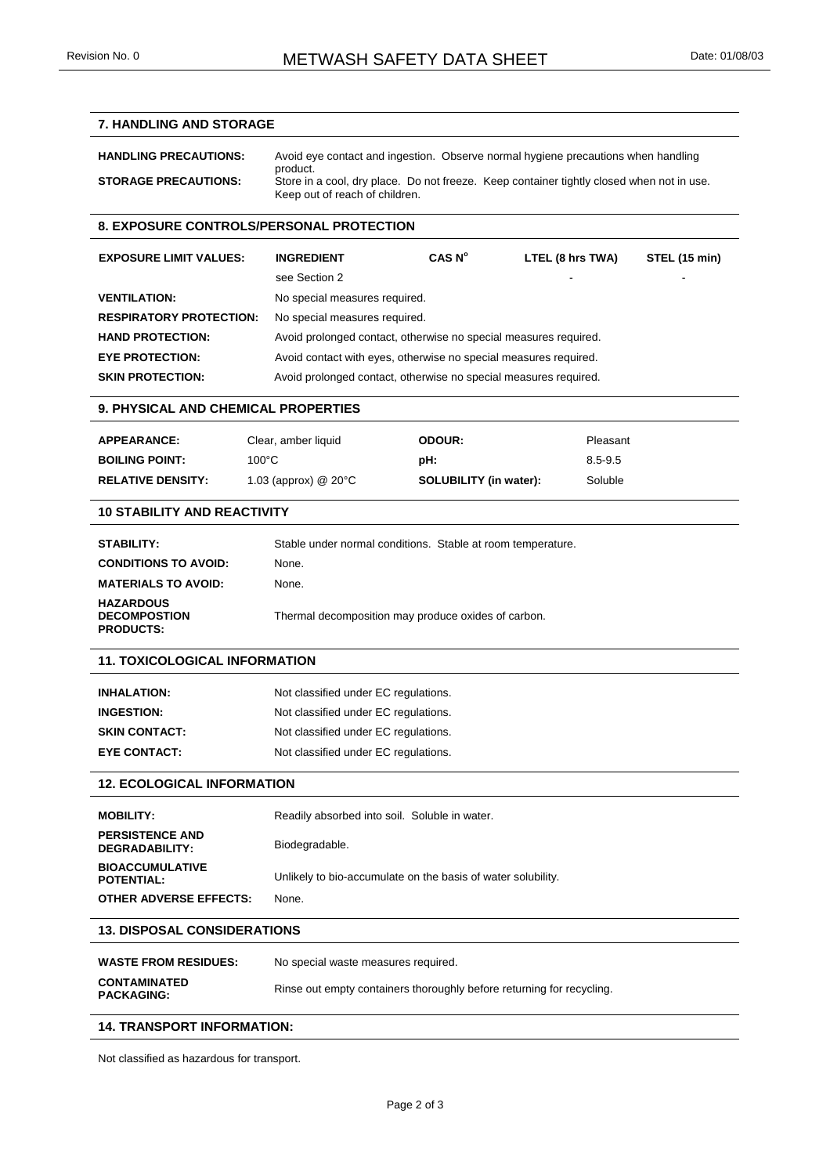# **7. HANDLING AND STORAGE HANDLING PRECAUTIONS:** Avoid eye contact and ingestion. Observe normal hygiene precautions when handling product. **STORAGE PRECAUTIONS:** Store in a cool, dry place. Do not freeze. Keep container tightly closed when not in use. Keep out of reach of children. **8. EXPOSURE CONTROLS/PERSONAL PROTECTION EXPOSURE LIMIT VALUES: INGREDIENT CAS N<sup>o</sup> LTEL (8 hrs TWA) STEL (15 min)** see Section 2 **VENTILATION:** No special measures required. **RESPIRATORY PROTECTION:** No special measures required. **HAND PROTECTION:** Avoid prolonged contact, otherwise no special measures required. **EYE PROTECTION:** Avoid contact with eyes, otherwise no special measures required. **SKIN PROTECTION:** Avoid prolonged contact, otherwise no special measures required. **9. PHYSICAL AND CHEMICAL PROPERTIES APPEARANCE:** Clear, amber liquid **ODOUR:** Pleasant **BOILING POINT:** 100°C **pH:** 8.5-9.5 **RELATIVE DENSITY:** 1.03 (approx) @ 20°C **SOLUBILITY (in water):** Soluble **10 STABILITY AND REACTIVITY STABILITY:** Stable under normal conditions. Stable at room temperature. **CONDITIONS TO AVOID:** None. **MATERIALS TO AVOID:** None. **HAZARDOUS DECOMPOSTION PRODUCTS:** Thermal decomposition may produce oxides of carbon. **11. TOXICOLOGICAL INFORMATION INHALATION:** Not classified under EC regulations. **INGESTION:** Not classified under EC regulations. **SKIN CONTACT:** Not classified under EC regulations. **EYE CONTACT:** Not classified under EC regulations. **12. ECOLOGICAL INFORMATION MOBILITY:** Readily absorbed into soil. Soluble in water. **PERSISTENCE AND DEGRADABILITY:** Biodegradable. **BIOACCUMULATIVE POTENTIAL:** Unlikely to bio-accumulate on the basis of water solubility. **OTHER ADVERSE EFFECTS:** None. **13. DISPOSAL CONSIDERATIONS WASTE FROM RESIDUES:** No special waste measures required. **CONTAMINATED PACKAGING:** Rinse out empty containers thoroughly before returning for recycling. **14. TRANSPORT INFORMATION:**

Not classified as hazardous for transport.